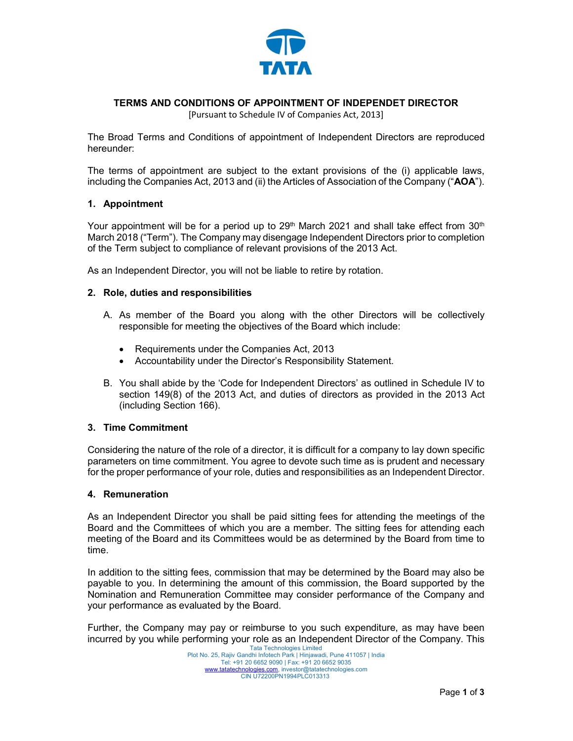

# TERMS AND CONDITIONS OF APPOINTMENT OF INDEPENDET DIRECTOR

[Pursuant to Schedule IV of Companies Act, 2013]

The Broad Terms and Conditions of appointment of Independent Directors are reproduced hereunder:

The terms of appointment are subject to the extant provisions of the (i) applicable laws, including the Companies Act, 2013 and (ii) the Articles of Association of the Company ("AOA").

## 1. Appointment

Your appointment will be for a period up to 29<sup>th</sup> March 2021 and shall take effect from 30<sup>th</sup> March 2018 ("Term"). The Company may disengage Independent Directors prior to completion of the Term subject to compliance of relevant provisions of the 2013 Act.

As an Independent Director, you will not be liable to retire by rotation.

### 2. Role, duties and responsibilities

- A. As member of the Board you along with the other Directors will be collectively responsible for meeting the objectives of the Board which include:
	- Requirements under the Companies Act, 2013
	- Accountability under the Director's Responsibility Statement.
- B. You shall abide by the 'Code for Independent Directors' as outlined in Schedule IV to section 149(8) of the 2013 Act, and duties of directors as provided in the 2013 Act (including Section 166).

## 3. Time Commitment

Considering the nature of the role of a director, it is difficult for a company to lay down specific parameters on time commitment. You agree to devote such time as is prudent and necessary for the proper performance of your role, duties and responsibilities as an Independent Director.

#### 4. Remuneration

As an Independent Director you shall be paid sitting fees for attending the meetings of the Board and the Committees of which you are a member. The sitting fees for attending each meeting of the Board and its Committees would be as determined by the Board from time to time.

In addition to the sitting fees, commission that may be determined by the Board may also be payable to you. In determining the amount of this commission, the Board supported by the Nomination and Remuneration Committee may consider performance of the Company and your performance as evaluated by the Board.

Further, the Company may pay or reimburse to you such expenditure, as may have been incurred by you while performing your role as an Independent Director of the Company. This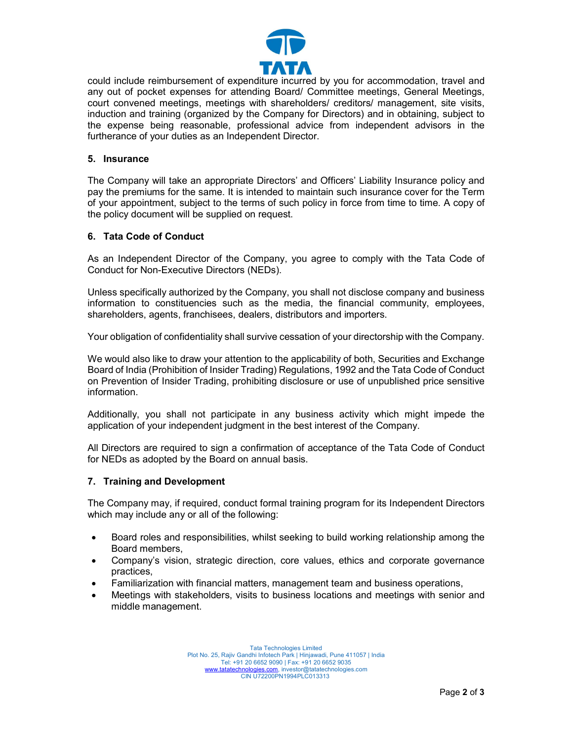

could include reimbursement of expenditure incurred by you for accommodation, travel and any out of pocket expenses for attending Board/ Committee meetings, General Meetings, court convened meetings, meetings with shareholders/ creditors/ management, site visits, induction and training (organized by the Company for Directors) and in obtaining, subject to the expense being reasonable, professional advice from independent advisors in the furtherance of your duties as an Independent Director.

#### 5. Insurance

The Company will take an appropriate Directors' and Officers' Liability Insurance policy and pay the premiums for the same. It is intended to maintain such insurance cover for the Term of your appointment, subject to the terms of such policy in force from time to time. A copy of the policy document will be supplied on request.

### 6. Tata Code of Conduct

As an Independent Director of the Company, you agree to comply with the Tata Code of Conduct for Non-Executive Directors (NEDs).

Unless specifically authorized by the Company, you shall not disclose company and business information to constituencies such as the media, the financial community, employees, shareholders, agents, franchisees, dealers, distributors and importers.

Your obligation of confidentiality shall survive cessation of your directorship with the Company.

We would also like to draw your attention to the applicability of both, Securities and Exchange Board of India (Prohibition of Insider Trading) Regulations, 1992 and the Tata Code of Conduct on Prevention of Insider Trading, prohibiting disclosure or use of unpublished price sensitive information.

Additionally, you shall not participate in any business activity which might impede the application of your independent judgment in the best interest of the Company.

All Directors are required to sign a confirmation of acceptance of the Tata Code of Conduct for NEDs as adopted by the Board on annual basis.

## 7. Training and Development

The Company may, if required, conduct formal training program for its Independent Directors which may include any or all of the following:

- Board roles and responsibilities, whilst seeking to build working relationship among the Board members,
- Company's vision, strategic direction, core values, ethics and corporate governance practices,
- Familiarization with financial matters, management team and business operations,
- Meetings with stakeholders, visits to business locations and meetings with senior and middle management.